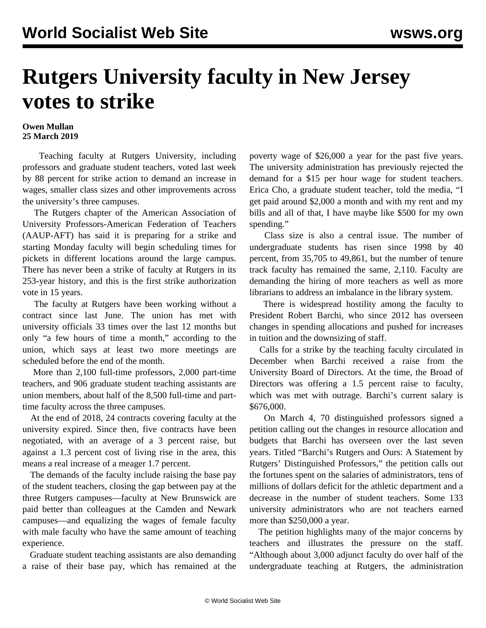## **Rutgers University faculty in New Jersey votes to strike**

## **Owen Mullan 25 March 2019**

 Teaching faculty at Rutgers University, including professors and graduate student teachers, voted last week by 88 percent for strike action to demand an increase in wages, smaller class sizes and other improvements across the university's three campuses.

 The Rutgers chapter of the American Association of University Professors-American Federation of Teachers (AAUP-AFT) has said it is preparing for a strike and starting Monday faculty will begin scheduling times for pickets in different locations around the large campus. There has never been a strike of faculty at Rutgers in its 253-year history, and this is the first strike authorization vote in 15 years.

 The faculty at Rutgers have been working without a contract since last June. The union has met with university officials 33 times over the last 12 months but only "a few hours of time a month," according to the union, which says at least two more meetings are scheduled before the end of the month.

 More than 2,100 full-time professors, 2,000 part-time teachers, and 906 graduate student teaching assistants are union members, about half of the 8,500 full-time and parttime faculty across the three campuses.

 At the end of 2018, 24 contracts covering faculty at the university expired. Since then, five contracts have been negotiated, with an average of a 3 percent raise, but against a 1.3 percent cost of living rise in the area, this means a real increase of a meager 1.7 percent.

 The demands of the faculty include raising the base pay of the student teachers, closing the gap between pay at the three Rutgers campuses—faculty at New Brunswick are paid better than colleagues at the Camden and Newark campuses—and equalizing the wages of female faculty with male faculty who have the same amount of teaching experience.

 Graduate student teaching assistants are also demanding a raise of their base pay, which has remained at the poverty wage of \$26,000 a year for the past five years. The university administration has previously rejected the demand for a \$15 per hour wage for student teachers. Erica Cho, a graduate student teacher, told the media, "I get paid around \$2,000 a month and with my rent and my bills and all of that, I have maybe like \$500 for my own spending."

 Class size is also a central issue. The number of undergraduate students has risen since 1998 by 40 percent, from 35,705 to 49,861, but the number of tenure track faculty has remained the same, 2,110. Faculty are demanding the hiring of more teachers as well as more librarians to address an imbalance in the library system.

 There is widespread hostility among the faculty to President Robert Barchi, who since 2012 has overseen changes in spending allocations and pushed for increases in tuition and the downsizing of staff.

 Calls for a strike by the teaching faculty circulated in December when Barchi received a raise from the University Board of Directors. At the time, the Broad of Directors was offering a 1.5 percent raise to faculty, which was met with outrage. Barchi's current salary is \$676,000.

 On March 4, 70 distinguished professors signed a petition calling out the changes in resource allocation and budgets that Barchi has overseen over the last seven years. Titled "Barchi's Rutgers and Ours: A Statement by Rutgers' Distinguished Professors," the petition calls out the fortunes spent on the salaries of administrators, tens of millions of dollars deficit for the athletic department and a decrease in the number of student teachers. Some 133 university administrators who are not teachers earned more than \$250,000 a year.

 The petition highlights many of the major concerns by teachers and illustrates the pressure on the staff. "Although about 3,000 adjunct faculty do over half of the undergraduate teaching at Rutgers, the administration